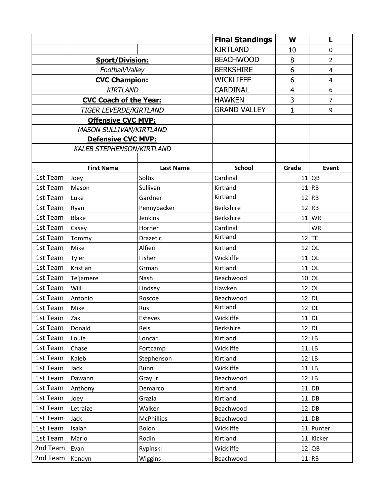|                               |                   |                        | <b>Final Standings</b> | $\underline{\mathbf{W}}$ | L              |
|-------------------------------|-------------------|------------------------|------------------------|--------------------------|----------------|
|                               |                   |                        | <b>KIRTLAND</b>        | 10                       | 0              |
| <b>Sport/Division:</b>        |                   |                        | <b>BEACHWOOD</b>       | 8                        | $\overline{2}$ |
| Football/Valley               |                   |                        | <b>BERKSHIRE</b>       | 6                        | $\overline{4}$ |
| <b>CVC Champion:</b>          |                   |                        | <b>WICKLIFFE</b>       | 6                        | 4              |
| <b>KIRTLAND</b>               |                   |                        | <b>CARDINAL</b>        | $\overline{4}$           | 6              |
| <b>CVC Coach of the Year:</b> |                   |                        | <b>HAWKEN</b>          | 3                        | $\overline{7}$ |
| TIGER LEVERDE/KIRTLAND        |                   |                        | <b>GRAND VALLEY</b>    | $\mathbf{1}$             | 9              |
| <b>Offensive CVC MVP:</b>     |                   |                        |                        |                          |                |
| MASON SULLIVAN/KIRTLAND       |                   |                        |                        |                          |                |
| Defensive CVC MVP:            |                   |                        |                        |                          |                |
| KALEB STEPHENSON/KIRTLAND     |                   |                        |                        |                          |                |
|                               |                   |                        |                        |                          |                |
|                               | <b>First Name</b> | <b>Last Name</b>       | <b>School</b>          | Grade                    | Event          |
| 1st Team                      | Joey              | Soltis                 | Cardinal               |                          | 11   QB        |
| 1st Team                      | Mason             | Sullivan               | Kirtland               |                          | 11 RB          |
| 1st Team                      | Luke              | Gardner                | Kirtland               |                          | $12$ RB        |
| 1st Team                      | Ryan              | Pennypacker            | <b>Berkshire</b>       |                          | 12 RB          |
| 1st Team                      | <b>Blake</b>      | Jenkins                | Berkshire              |                          | $11$ WR        |
| 1st Team                      | Casey             | Horner                 | Cardinal               |                          | <b>WR</b>      |
| 1st Team                      | Tommy             | Drazetic               | Kirtland               |                          | $12$ TE        |
| 1st Team                      | Mike              | Alfieri                | Kirtland               |                          | 12 OL          |
| 1st Team                      | Tyler             | Fisher                 | Wickliffe              |                          | 11 OL          |
| 1st Team                      | Kristian          | Grman                  | Kirtland               |                          | 11 OL          |
| 1st Team                      | Te'jamere         | Nash                   | Beachwood              |                          | 10 OL          |
| 1st Team                      | Will              | Lindsey                | Hawken                 |                          | 12 OL          |
| 1st Team                      | Antonio           | Roscoe                 | Beachwood<br>Kirtland  |                          | $12$ DL        |
| 1st Team                      | Mike              | Rus                    |                        |                          | 12 DL          |
| 1st Team                      | Zak               | Esteves                | Wickliffe              |                          | 11 DL          |
| 1st Team<br>1st Team          | Donald            | Reis                   | Berkshire              |                          | 12 DL          |
| 1st Team                      | Louie             | Loncar                 | Kirtland               |                          | 12 LB          |
| 1st Team                      | Chase<br>Kaleb    | Fortcamp<br>Stephenson | Wickliffe<br>Kirtland  |                          | 11 LB<br>12 LB |
| 1st Team                      | Jack              | Bunn                   | Wickliffe              |                          | 11 LB          |
| 1st Team                      | Dawann            | Gray Jr.               | Beachwood              |                          | 12 LB          |
| 1st Team                      | Anthony           |                        | Kirtland               |                          | 11 DB          |
| 1st Team                      | Joey              | Demarco<br>Grazia      | Kirtland               |                          | 11 DB          |
| 1st Team                      | Letraize          | Walker                 | Beachwood              |                          | 12 DB          |
| 1st Team                      | Jack              | <b>McPhillips</b>      | Beachwood              |                          | 11 DB          |
| 1st Team                      | Isaiah            | Bolon                  | Wickliffe              |                          | 11 Punter      |
| 1st Team                      | Mario             | Rodin                  | Kirtland               |                          | 11 Kicker      |
| 2nd Team                      | Evan              | Rypinski               | Wickliffe              |                          | 12   QB        |
| 2nd Team                      | Kendyn            | Wiggins                | Beachwood              |                          | 11 RB          |
|                               |                   |                        |                        |                          |                |